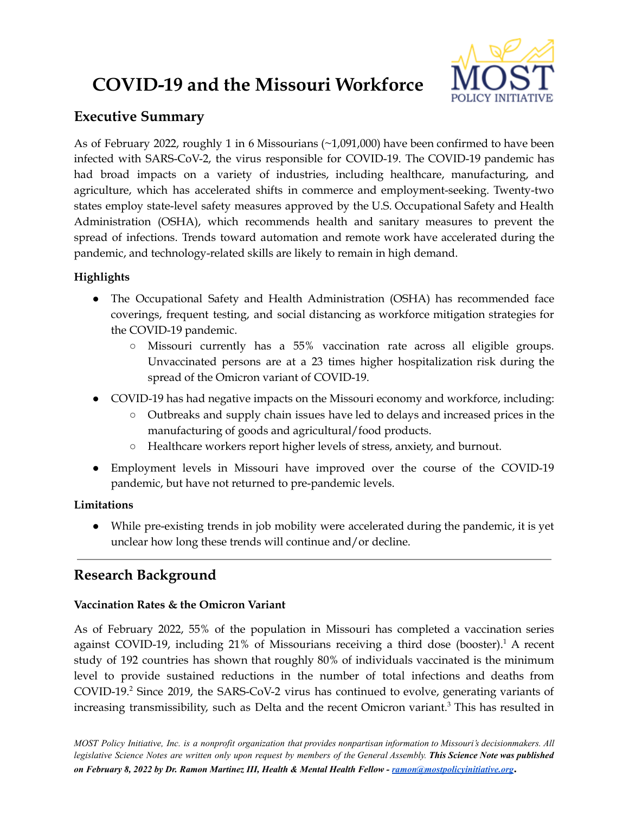# **COVID-19 and the Missouri Workforce**



# **Executive Summary**

As of February 2022, roughly 1 in 6 Missourians (~1,091,000) have been confirmed to have been infected with SARS-CoV-2, the virus responsible for COVID-19. The COVID-19 pandemic has had broad impacts on a variety of industries, including healthcare, manufacturing, and agriculture, which has accelerated shifts in commerce and employment-seeking. Twenty-two states employ state-level safety measures approved by the U.S. Occupational Safety and Health Administration (OSHA), which recommends health and sanitary measures to prevent the spread of infections. Trends toward automation and remote work have accelerated during the pandemic, and technology-related skills are likely to remain in high demand.

# **Highlights**

- The Occupational Safety and Health Administration (OSHA) has recommended face coverings, frequent testing, and social distancing as workforce mitigation strategies for the COVID-19 pandemic.
	- Missouri currently has a 55% vaccination rate across all eligible groups. Unvaccinated persons are at a 23 times higher hospitalization risk during the spread of the Omicron variant of COVID-19.
- COVID-19 has had negative impacts on the Missouri economy and workforce, including:
	- Outbreaks and supply chain issues have led to delays and increased prices in the manufacturing of goods and agricultural/food products.
	- Healthcare workers report higher levels of stress, anxiety, and burnout.
- Employment levels in Missouri have improved over the course of the COVID-19 pandemic, but have not returned to pre-pandemic levels.

# **Limitations**

● While pre-existing trends in job mobility were accelerated during the pandemic, it is yet unclear how long these trends will continue and/or decline.

# **Research Background**

# **Vaccination Rates & the Omicron Variant**

As of February 2022, 55% of the population in Missouri has completed a vaccination series against COVID-19, including 21% of Missourians receiving a third dose (booster).<sup>1</sup> A recent study of 192 countries has shown that roughly 80% of individuals vaccinated is the minimum level to provide sustained reductions in the number of total infections and deaths from COVID-19. <sup>2</sup> Since 2019, the SARS-CoV-2 virus has continued to evolve, generating variants of increasing transmissibility, such as Delta and the recent Omicron variant. <sup>3</sup> This has resulted in

MOST Policy Initiative, Inc. is a nonprofit organization that provides nonpartisan information to Missouri's decisionmakers. All legislative Science Notes are written only upon request by members of the General Assembly. This Science Note was published *on February 8, 2022 by Dr. Ramon Martinez III, Health & Mental Health Fellow - [ramon@mostpolicyinitiative.org](mailto:ramon@mostpolicyinitiative.org)***.**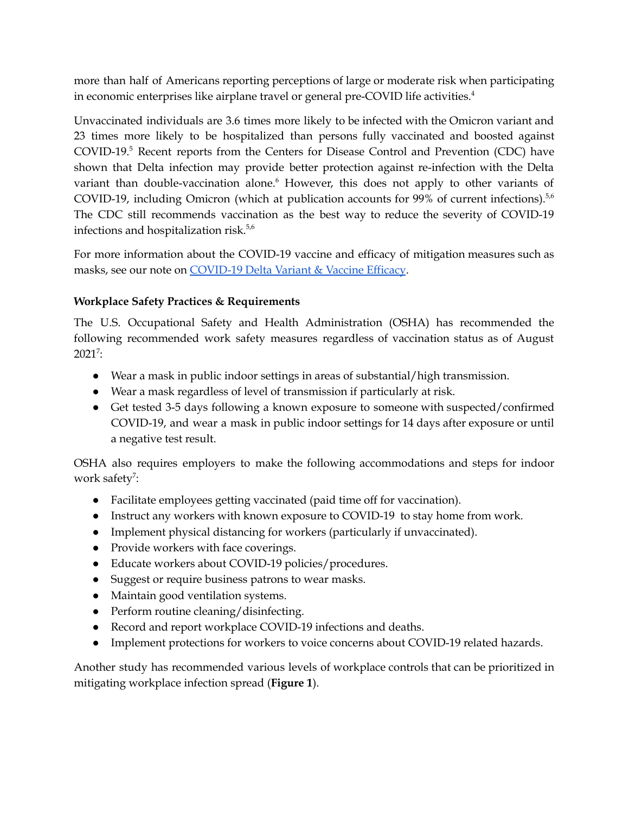more than half of Americans reporting perceptions of large or moderate risk when participating in economic enterprises like airplane travel or general pre-COVID life activities. 4

Unvaccinated individuals are 3.6 times more likely to be infected with the Omicron variant and 23 times more likely to be hospitalized than persons fully vaccinated and boosted against COVID-19. <sup>5</sup> Recent reports from the Centers for Disease Control and Prevention (CDC) have shown that Delta infection may provide better protection against re-infection with the Delta variant than double-vaccination alone. <sup>6</sup> However, this does not apply to other variants of COVID-19, including Omicron (which at publication accounts for 99% of current infections).<sup>5,6</sup> The CDC still recommends vaccination as the best way to reduce the severity of COVID-19 infections and hospitalization risk.<sup>5,6</sup>

For more information about the COVID-19 vaccine and efficacy of mitigation measures such as masks, see our note on [COVID-19](https://mostpolicyinitiative.org/science-note/covid-19-delta-variant-and-vaccine-efficacy/) Delta Variant & Vaccine Efficacy.

## **Workplace Safety Practices & Requirements**

The U.S. Occupational Safety and Health Administration (OSHA) has recommended the following recommended work safety measures regardless of vaccination status as of August  $2021^7$ :

- Wear a mask in public indoor settings in areas of substantial/high transmission.
- Wear a mask regardless of level of transmission if particularly at risk.
- Get tested 3-5 days following a known exposure to someone with suspected/confirmed COVID-19, and wear a mask in public indoor settings for 14 days after exposure or until a negative test result.

OSHA also requires employers to make the following accommodations and steps for indoor work safety<sup>7</sup>:

- Facilitate employees getting vaccinated (paid time off for vaccination).
- Instruct any workers with known exposure to COVID-19 to stay home from work.
- Implement physical distancing for workers (particularly if unvaccinated).
- Provide workers with face coverings.
- Educate workers about COVID-19 policies/procedures.
- Suggest or require business patrons to wear masks.
- Maintain good ventilation systems.
- Perform routine cleaning/disinfecting.
- Record and report workplace COVID-19 infections and deaths.
- Implement protections for workers to voice concerns about COVID-19 related hazards.

Another study has recommended various levels of workplace controls that can be prioritized in mitigating workplace infection spread (**Figure 1**).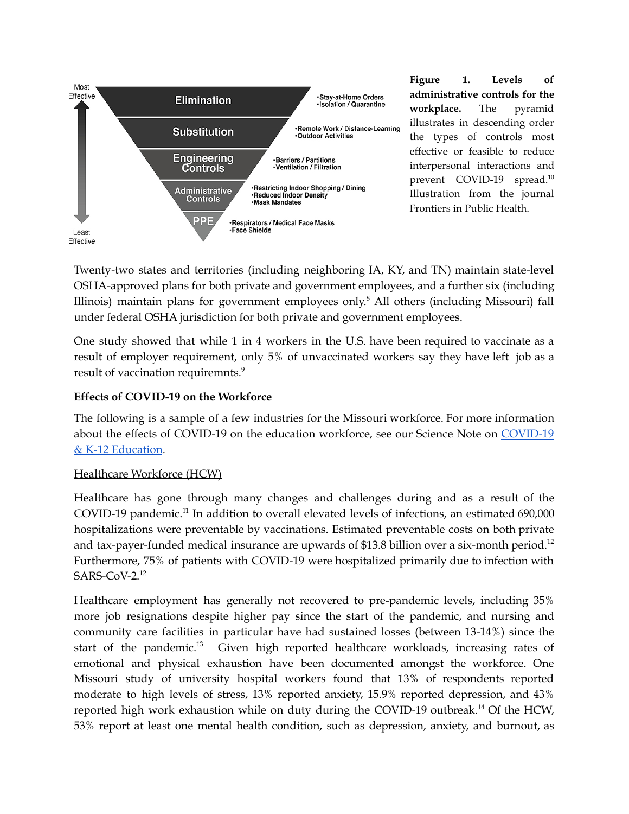

**Figure 1. Levels of administrative controls for the workplace.** The pyramid illustrates in descending order the types of controls most effective or feasible to reduce interpersonal interactions and prevent COVID-19 spread. 10 Illustration from the journal Frontiers in Public Health.

Twenty-two states and territories (including neighboring IA, KY, and TN) maintain state-level OSHA-approved plans for both private and government employees, and a further six (including Illinois) maintain plans for government employees only. <sup>8</sup> All others (including Missouri) fall under federal OSHA jurisdiction for both private and government employees.

One study showed that while 1 in 4 workers in the U.S. have been required to vaccinate as a result of employer requirement, only 5% of unvaccinated workers say they have left job as a result of vaccination requiremnts. 9

#### **Effects of COVID-19 on the Workforce**

The following is a sample of a few industries for the Missouri workforce. For more information about the effects of COVID-19 on the education workforce, see our Science Note on [COVID-19](https://mostpolicyinitiative.org/science-note/covid-19-education/) & K-12 [Education](https://mostpolicyinitiative.org/science-note/covid-19-education/).

#### Healthcare Workforce (HCW)

Healthcare has gone through many changes and challenges during and as a result of the COVID-19 pandemic.<sup>11</sup> In addition to overall elevated levels of infections, an estimated 690,000 hospitalizations were preventable by vaccinations. Estimated preventable costs on both private and tax-payer-funded medical insurance are upwards of \$13.8 billion over a six-month period.<sup>12</sup> Furthermore, 75% of patients with COVID-19 were hospitalized primarily due to infection with SARS-CoV-2. 12

Healthcare employment has generally not recovered to pre-pandemic levels, including 35% more job resignations despite higher pay since the start of the pandemic, and nursing and community care facilities in particular have had sustained losses (between 13-14%) since the start of the pandemic.<sup>13</sup> Given high reported healthcare workloads, increasing rates of emotional and physical exhaustion have been documented amongst the workforce. One Missouri study of university hospital workers found that 13% of respondents reported moderate to high levels of stress, 13% reported anxiety, 15.9% reported depression, and 43% reported high work exhaustion while on duty during the COVID-19 outbreak.<sup>14</sup> Of the HCW, 53% report at least one mental health condition, such as depression, anxiety, and burnout, as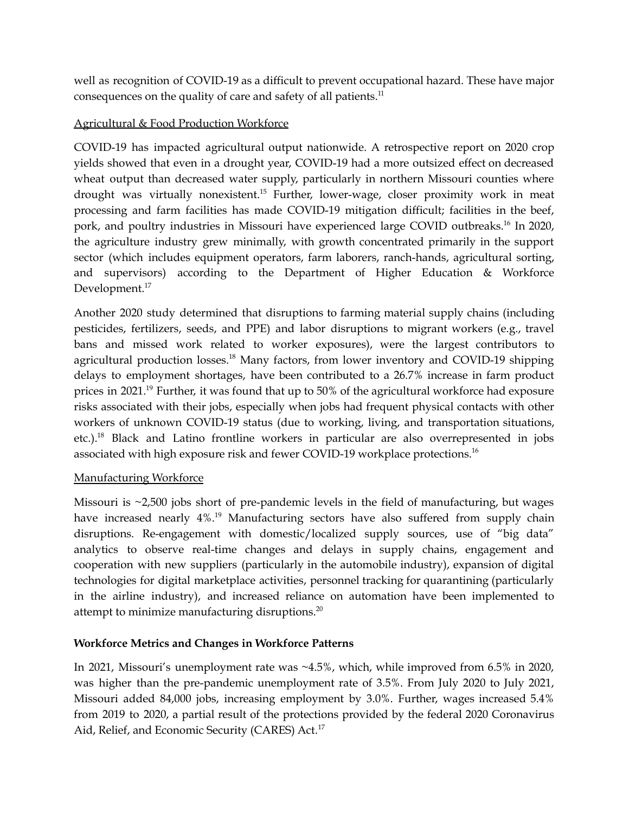well as recognition of COVID-19 as a difficult to prevent occupational hazard. These have major consequences on the quality of care and safety of all patients.<sup>11</sup>

# Agricultural & Food Production Workforce

COVID-19 has impacted agricultural output nationwide. A retrospective report on 2020 crop yields showed that even in a drought year, COVID-19 had a more outsized effect on decreased wheat output than decreased water supply, particularly in northern Missouri counties where drought was virtually nonexistent.<sup>15</sup> Further, lower-wage, closer proximity work in meat processing and farm facilities has made COVID-19 mitigation difficult; facilities in the beef, pork, and poultry industries in Missouri have experienced large COVID outbreaks.<sup>16</sup> In 2020, the agriculture industry grew minimally, with growth concentrated primarily in the support sector (which includes equipment operators, farm laborers, ranch-hands, agricultural sorting, and supervisors) according to the Department of Higher Education & Workforce Development.<sup>17</sup>

Another 2020 study determined that disruptions to farming material supply chains (including pesticides, fertilizers, seeds, and PPE) and labor disruptions to migrant workers (e.g., travel bans and missed work related to worker exposures), were the largest contributors to agricultural production losses.<sup>18</sup> Many factors, from lower inventory and COVID-19 shipping delays to employment shortages, have been contributed to a 26.7% increase in farm product prices in 2021.<sup>19</sup> Further, it was found that up to 50% of the agricultural workforce had exposure risks associated with their jobs, especially when jobs had frequent physical contacts with other workers of unknown COVID-19 status (due to working, living, and transportation situations, etc.).<sup>18</sup> Black and Latino frontline workers in particular are also overrepresented in jobs associated with high exposure risk and fewer COVID-19 workplace protections. 16

## Manufacturing Workforce

Missouri is ~2,500 jobs short of pre-pandemic levels in the field of manufacturing, but wages have increased nearly 4%.<sup>19</sup> Manufacturing sectors have also suffered from supply chain disruptions. Re-engagement with domestic/localized supply sources, use of "big data" analytics to observe real-time changes and delays in supply chains, engagement and cooperation with new suppliers (particularly in the automobile industry), expansion of digital technologies for digital marketplace activities, personnel tracking for quarantining (particularly in the airline industry), and increased reliance on automation have been implemented to attempt to minimize manufacturing disruptions. $^{20}$ 

## **Workforce Metrics and Changes in Workforce Patterns**

In 2021, Missouri's unemployment rate was ~4.5%, which, while improved from 6.5% in 2020, was higher than the pre-pandemic unemployment rate of 3.5%. From July 2020 to July 2021, Missouri added 84,000 jobs, increasing employment by 3.0%. Further, wages increased 5.4% from 2019 to 2020, a partial result of the protections provided by the federal 2020 Coronavirus Aid, Relief, and Economic Security (CARES) Act.<sup>17</sup>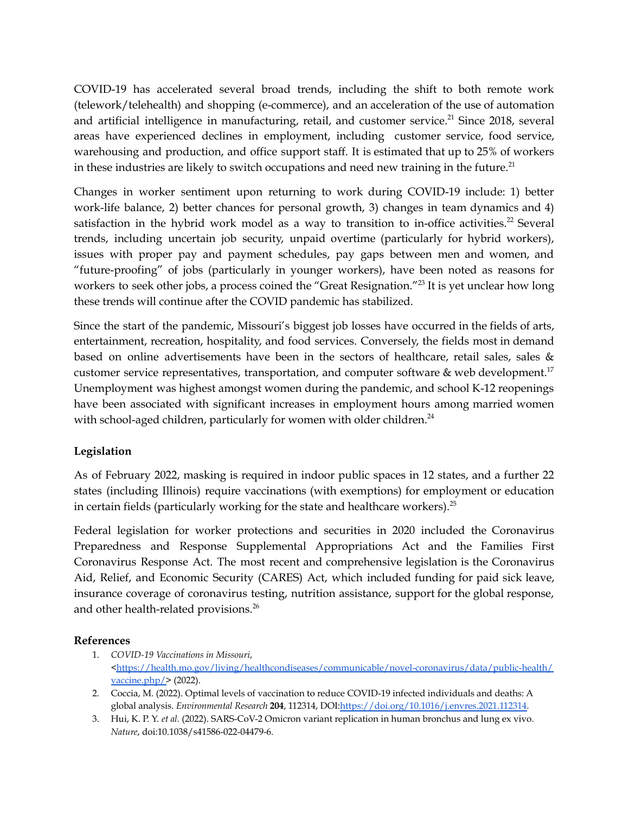COVID-19 has accelerated several broad trends, including the shift to both remote work (telework/telehealth) and shopping (e-commerce), and an acceleration of the use of automation and artificial intelligence in manufacturing, retail, and customer service.<sup>21</sup> Since 2018, several areas have experienced declines in employment, including customer service, food service, warehousing and production, and office support staff. It is estimated that up to 25% of workers in these industries are likely to switch occupations and need new training in the future.<sup>21</sup>

Changes in worker sentiment upon returning to work during COVID-19 include: 1) better work-life balance, 2) better chances for personal growth, 3) changes in team dynamics and 4) satisfaction in the hybrid work model as a way to transition to in-office activities.<sup>22</sup> Several trends, including uncertain job security, unpaid overtime (particularly for hybrid workers), issues with proper pay and payment schedules, pay gaps between men and women, and "future-proofing" of jobs (particularly in younger workers), have been noted as reasons for workers to seek other jobs, a process coined the "Great Resignation."<sup>23</sup> It is yet unclear how long these trends will continue after the COVID pandemic has stabilized.

Since the start of the pandemic, Missouri's biggest job losses have occurred in the fields of arts, entertainment, recreation, hospitality, and food services. Conversely, the fields most in demand based on online advertisements have been in the sectors of healthcare, retail sales, sales & customer service representatives, transportation, and computer software  $\&$  web development.<sup>17</sup> Unemployment was highest amongst women during the pandemic, and school K-12 reopenings have been associated with significant increases in employment hours among married women with school-aged children, particularly for women with older children.<sup>24</sup>

#### **Legislation**

As of February 2022, masking is required in indoor public spaces in 12 states, and a further 22 states (including Illinois) require vaccinations (with exemptions) for employment or education in certain fields (particularly working for the state and healthcare workers).<sup>25</sup>

Federal legislation for worker protections and securities in 2020 included the Coronavirus Preparedness and Response Supplemental Appropriations Act and the Families First Coronavirus Response Act. The most recent and comprehensive legislation is the Coronavirus Aid, Relief, and Economic Security (CARES) Act, which included funding for paid sick leave, insurance coverage of coronavirus testing, nutrition assistance, support for the global response, and other health-related provisions. 26

#### **References**

- 1. *COVID-19 Vaccinations in Missouri*, [<https://health.mo.gov/living/healthcondiseases/communicable/novel-coronavirus/data/public-health/](https://health.mo.gov/living/healthcondiseases/communicable/novel-coronavirus/data/public-health/vaccine.php/) [vaccine.php/>](https://health.mo.gov/living/healthcondiseases/communicable/novel-coronavirus/data/public-health/vaccine.php/) (2022).
- 2. Coccia, M. (2022). Optimal levels of vaccination to reduce COVID-19 infected individuals and deaths: A global analysis. *Environmental Research* **204**, 112314, DOI[:https://doi.org/10.1016/j.envres.2021.112314.](https://doi.org/10.1016/j.envres.2021.112314)
- 3. Hui, K. P. Y. *et al.* (2022). SARS-CoV-2 Omicron variant replication in human bronchus and lung ex vivo. *Nature*, doi:10.1038/s41586-022-04479-6.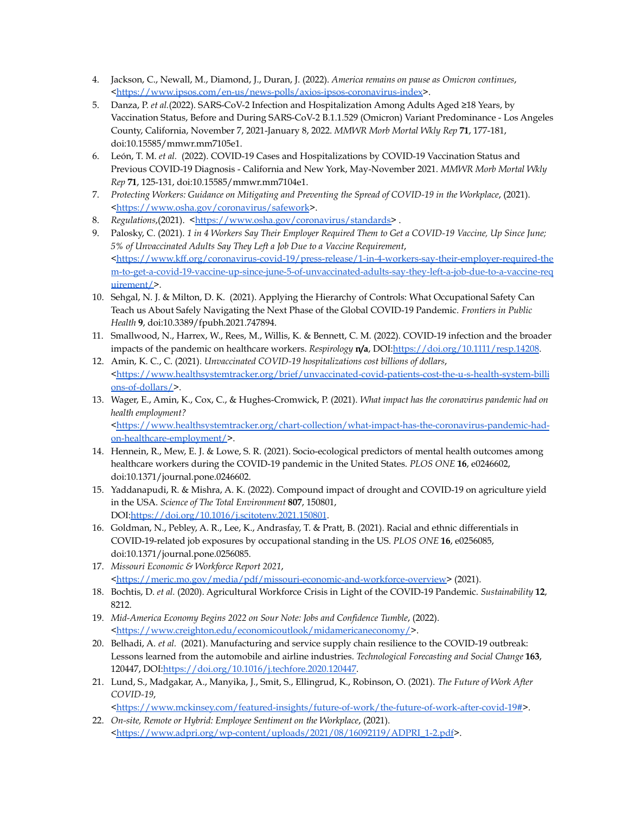- 4. Jackson, C., Newall, M., Diamond, J., Duran, J. (2022). *America remains on pause as Omicron continues*, [<https://www.ipsos.com/en-us/news-polls/axios-ipsos-coronavirus-index>](https://www.ipsos.com/en-us/news-polls/axios-ipsos-coronavirus-index).
- 5. Danza, P. *et al.*(2022). SARS-CoV-2 Infection and Hospitalization Among Adults Aged ≥18 Years, by Vaccination Status, Before and During SARS-CoV-2 B.1.1.529 (Omicron) Variant Predominance - Los Angeles County, California, November 7, 2021-January 8, 2022. *MMWR Morb Mortal Wkly Rep* **71**, 177-181, doi:10.15585/mmwr.mm7105e1.
- 6. León, T. M. *et al.* (2022). COVID-19 Cases and Hospitalizations by COVID-19 Vaccination Status and Previous COVID-19 Diagnosis - California and New York, May-November 2021. *MMWR Morb Mortal Wkly Rep* **71**, 125-131, doi:10.15585/mmwr.mm7104e1.
- 7. *Protecting Workers: Guidance on Mitigating and Preventing the Spread of COVID-19 in the Workplace*, (2021). [<https://www.osha.gov/coronavirus/safework](https://www.osha.gov/coronavirus/safework)>.
- 8. *Regulations*,(2021). <[https://www.osha.gov/coronavirus/standards>](https://www.osha.gov/coronavirus/standards).
- 9. Palosky, C. (2021). *1 in 4 Workers Say Their Employer Required Them to Get a COVID-19 Vaccine, Up Since June; 5% of Unvaccinated Adults Say They Left a Job Due to a Vaccine Requirement*, [<https://www.kff.org/coronavirus-covid-19/press-release/1-in-4-workers-say-their-employer-required-the](https://www.kff.org/coronavirus-covid-19/press-release/1-in-4-workers-say-their-employer-required-them-to-get-a-covid-19-vaccine-up-since-june-5-of-unvaccinated-adults-say-they-left-a-job-due-to-a-vaccine-requirement/) [m-to-get-a-covid-19-vaccine-up-since-june-5-of-unvaccinated-adults-say-they-left-a-job-due-to-a-vaccine-req](https://www.kff.org/coronavirus-covid-19/press-release/1-in-4-workers-say-their-employer-required-them-to-get-a-covid-19-vaccine-up-since-june-5-of-unvaccinated-adults-say-they-left-a-job-due-to-a-vaccine-requirement/) [uirement/>](https://www.kff.org/coronavirus-covid-19/press-release/1-in-4-workers-say-their-employer-required-them-to-get-a-covid-19-vaccine-up-since-june-5-of-unvaccinated-adults-say-they-left-a-job-due-to-a-vaccine-requirement/).
- 10. Sehgal, N. J. & Milton, D. K. (2021). Applying the Hierarchy of Controls: What Occupational Safety Can Teach us About Safely Navigating the Next Phase of the Global COVID-19 Pandemic. *Frontiers in Public Health* **9**, doi:10.3389/fpubh.2021.747894.
- 11. Smallwood, N., Harrex, W., Rees, M., Willis, K. & Bennett, C. M. (2022). COVID-19 infection and the broader impacts of the pandemic on healthcare workers. *Respirology* **n/a**, DOI:[https://doi.org/10.1111/resp.14208.](https://doi.org/10.1111/resp.14208)
- 12. Amin, K. C., C. (2021). *Unvaccinated COVID-19 hospitalizations cost billions of dollars*, [<https://www.healthsystemtracker.org/brief/unvaccinated-covid-patients-cost-the-u-s-health-system-billi](https://www.healthsystemtracker.org/brief/unvaccinated-covid-patients-cost-the-u-s-health-system-billions-of-dollars/) [ons-of-dollars/>](https://www.healthsystemtracker.org/brief/unvaccinated-covid-patients-cost-the-u-s-health-system-billions-of-dollars/).
- 13. Wager, E., Amin, K., Cox, C., & Hughes-Cromwick, P. (2021). *What impact has the coronavirus pandemic had on health employment?* [<https://www.healthsystemtracker.org/chart-collection/what-impact-has-the-coronavirus-pandemic-had](https://www.healthsystemtracker.org/chart-collection/what-impact-has-the-coronavirus-pandemic-had-on-healthcare-employment/)[on-healthcare-employment/](https://www.healthsystemtracker.org/chart-collection/what-impact-has-the-coronavirus-pandemic-had-on-healthcare-employment/)>.
- 14. Hennein, R., Mew, E. J. & Lowe, S. R. (2021). Socio-ecological predictors of mental health outcomes among healthcare workers during the COVID-19 pandemic in the United States. *PLOS ONE* **16**, e0246602, doi:10.1371/journal.pone.0246602.
- 15. Yaddanapudi, R. & Mishra, A. K. (2022). Compound impact of drought and COVID-19 on agriculture yield in the USA. *Science of The Total Environment* **807**, 150801, DOI[:https://doi.org/10.1016/j.scitotenv.2021.150801](https://doi.org/10.1016/j.scitotenv.2021.150801).
- 16. Goldman, N., Pebley, A. R., Lee, K., Andrasfay, T. & Pratt, B. (2021). Racial and ethnic differentials in COVID-19-related job exposures by occupational standing in the US. *PLOS ONE* **16**, e0256085, doi:10.1371/journal.pone.0256085.
- 17. *Missouri Economic & Workforce Report 2021*, [<https://meric.mo.gov/media/pdf/missouri-economic-and-workforce-overview>](https://meric.mo.gov/media/pdf/missouri-economic-and-workforce-overview) (2021).
- 18. Bochtis, D. *et al.* (2020). Agricultural Workforce Crisis in Light of the COVID-19 Pandemic. *Sustainability* **12**, 8212.
- 19. *Mid-America Economy Begins 2022 on Sour Note: Jobs and Confidence Tumble*, (2022). [<https://www.creighton.edu/economicoutlook/midamericaneconomy/](https://www.creighton.edu/economicoutlook/midamericaneconomy/)>.
- 20. Belhadi, A. *et al.* (2021). Manufacturing and service supply chain resilience to the COVID-19 outbreak: Lessons learned from the automobile and airline industries. *Technological Forecasting and Social Change* **163**, 120447, DOI:<https://doi.org/10.1016/j.techfore.2020.120447>.
- 21. Lund, S., Madgakar, A., Manyika, J., Smit, S., Ellingrud, K., Robinson, O. (2021). *The Future of Work After COVID-19*,

```
<https://www.mckinsey.com/featured-insights/future-of-work/the-future-of-work-after-covid-19#>.
```
22. *On-site, Remote or Hybrid: Employee Sentiment on the Workplace*, (2021). [<https://www.adpri.org/wp-content/uploads/2021/08/16092119/ADPRI\\_1-2.pdf](https://www.adpri.org/wp-content/uploads/2021/08/16092119/ADPRI_1-2.pdf)>.